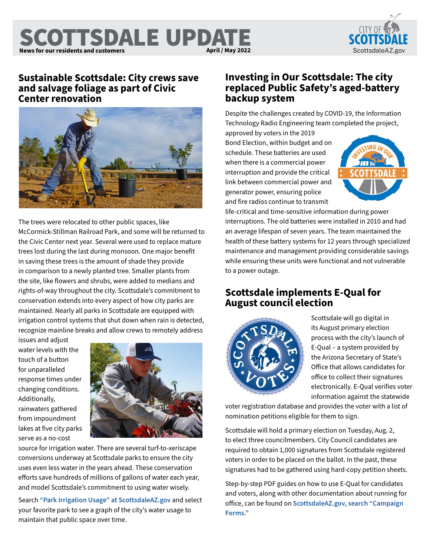### SCOTTSDALE UPDATE **News for our residents and customers News April / May 2022** April / May 2022 [ScottsdaleAZ.gov](http://ScottsdaleAZ.gov) **April / May 2022**



## **Sustainable Scottsdale: City crews save and salvage foliage as part of Civic Center renovation**



The trees were relocated to other public spaces, like McCormick-Stillman Railroad Park, and some will be returned to the Civic Center next year. Several were used to replace mature trees lost during the last during monsoon. One major benefit in saving these trees is the amount of shade they provide in comparison to a newly planted tree. Smaller plants from the site, like flowers and shrubs, were added to medians and rights-of-way throughout the city. Scottsdale's commitment to conservation extends into every aspect of how city parks are maintained. Nearly all parks in Scottsdale are equipped with irrigation control systems that shut down when rain is detected, recognize mainline breaks and allow crews to remotely address

issues and adjust water levels with the touch of a button for unparalleled response times under changing conditions. Additionally, rainwaters gathered from impoundment lakes at five city parks serve as a no-cost



source for irrigation water. There are several turf-to-xeriscape conversions underway at Scottsdale parks to ensure the city uses even less water in the years ahead. These conservation efforts save hundreds of millions of gallons of water each year, and model Scottsdale's commitment to using water wisely.

Search **["Park Irrigation Usage" at ScottsdaleAZ.gov](https://www.scottsdaleaz.gov/search?query=Park+Irrigation+Usage)** and select your favorite park to see a graph of the city's water usage to maintain that public space over time.

# **Investing in Our Scottsdale: The city replaced Public Safety's aged-battery backup system**

Despite the challenges created by COVID-19, the Information Technology Radio Engineering team completed the project,

approved by voters in the 2019 Bond Election, within budget and on schedule. These batteries are used when there is a commercial power interruption and provide the critical link between commercial power and generator power, ensuring police and fire radios continue to transmit



life-critical and time-sensitive information during power interruptions. The old batteries were installed in 2010 and had an average lifespan of seven years. The team maintained the health of these battery systems for 12 years through specialized maintenance and management providing considerable savings while ensuring these units were functional and not vulnerable to a power outage.

# **Scottsdale implements E-Qual for August council election**



Scottsdale will go digital in its August primary election process with the city's launch of E-Qual – a system provided by the Arizona Secretary of State's Office that allows candidates for office to collect their signatures electronically. E-Qual verifies voter information against the statewide

voter registration database and provides the voter with a list of nomination petitions eligible for them to sign.

Scottsdale will hold a primary election on Tuesday, Aug. 2, to elect three councilmembers. City Council candidates are required to obtain 1,000 signatures from Scottsdale registered voters in order to be placed on the ballot. In the past, these signatures had to be gathered using hard-copy petition sheets.

Step-by-step PDF guides on how to use E-Qual for candidates and voters, along with other documentation about running for office, can be found on **[ScottsdaleAZ.gov, search "Campaign](https://www.scottsdaleaz.gov/elections/elections-campaign-forms)  [Forms."](https://www.scottsdaleaz.gov/elections/elections-campaign-forms)**